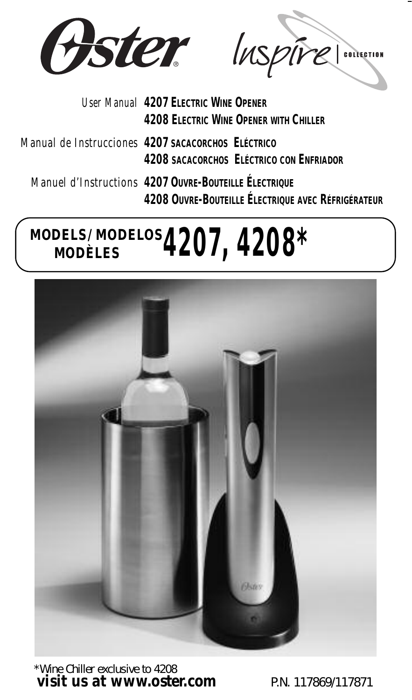

Oster Inspire

- *User Manual* **4207 ELECTRIC WINE OPENER 4208 ELECTRIC WINE OPENER WITH CHILLER** *Manual de Instruccione*<sup>s</sup> **4207 SACACORCHOS ELÉCTRICO 4208 SACACORCHOS ELÉCTRICO CON ENFRIADOR**
	- *Manuel d'Instruction*<sup>s</sup> **4207 OUVRE-BOUTEILLE ÉLECTRIQUE 4208 OUVRE-BOUTEILLE ÉLECTRIQUE AVEC RÉFRIGÉRATEUR**

# **MODELS/MODELOS MODÈLES 4207, 4200**



\*Wine Chiller exclusive to 4208 *visit us at www.oster.com* PN 117869/117871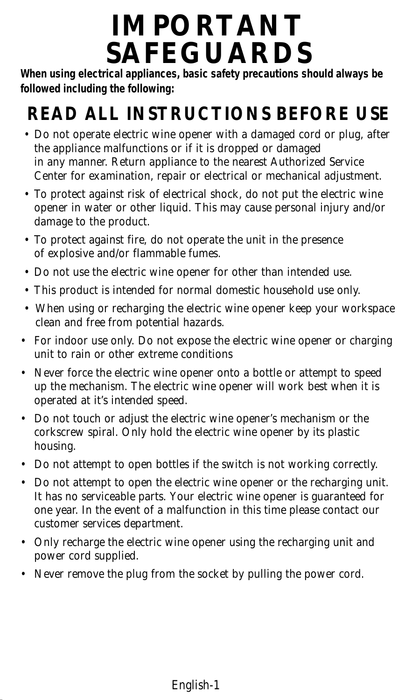# **IMPORTANT SAFEGUARDS**

**When using electrical appliances, basic safety precautions should always be followed including the following:**

## **READ ALL INSTRUCTIONS BEFORE USE**

- Do not operate electric wine opener with a damaged cord or plug, after the appliance malfunctions or if it is dropped or damaged in any manner. Return appliance to the nearest Authorized Service Center for examination, repair or electrical or mechanical adjustment.
- To protect against risk of electrical shock, do not put the electric wine opener in water or other liquid. This may cause personal injury and/or damage to the product.
- To protect against fire, do not operate the unit in the presence of explosive and/or flammable fumes.
- Do not use the electric wine opener for other than intended use.
- This product is intended for normal domestic household use only.
- When using or recharging the electric wine opener keep your workspace clean and free from potential hazards.
- For indoor use only. Do not expose the electric wine opener or charging unit to rain or other extreme conditions
- Never force the electric wine opener onto a bottle or attempt to speed up the mechanism. The electric wine opener will work best when it is operated at it's intended speed.
- Do not touch or adjust the electric wine opener's mechanism or the corkscrew spiral. Only hold the electric wine opener by its plastic housing.
- Do not attempt to open bottles if the switch is not working correctly.
- Do not attempt to open the electric wine opener or the recharging unit. It has no serviceable parts. Your electric wine opener is guaranteed for one year. In the event of a malfunction in this time please contact our customer services department.
- Only recharge the electric wine opener using the recharging unit and power cord supplied.
- Never remove the plug from the socket by pulling the power cord.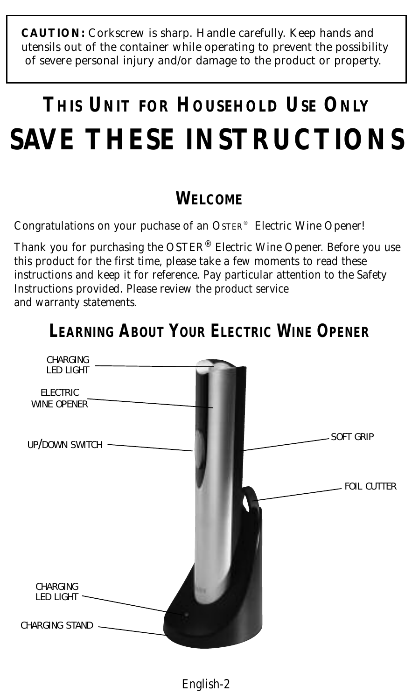**CAUTION:** Corkscrew is sharp. Handle carefully. Keep hands and utensils out of the container while operating to prevent the possibility of severe personal injury and/or damage to the product or property.

# **THIS UNIT FOR HOUSEHOLD USE ONLY SAVE THESE INSTRUCTIONS**

## **WELCOME**

Congratulations on your puchase of an OSTER® Electric Wine Opener!

Thank you for purchasing the OSTER® Electric Wine Opener. Before you use this product for the first time, please take a few moments to read these instructions and keep it for reference. Pay particular attention to the Safety Instructions provided. Please review the product service and warranty statements.



## **LEARNING ABOUT YOUR ELECTRIC WINE OPENER**

English-2 English-3 English-4 English-5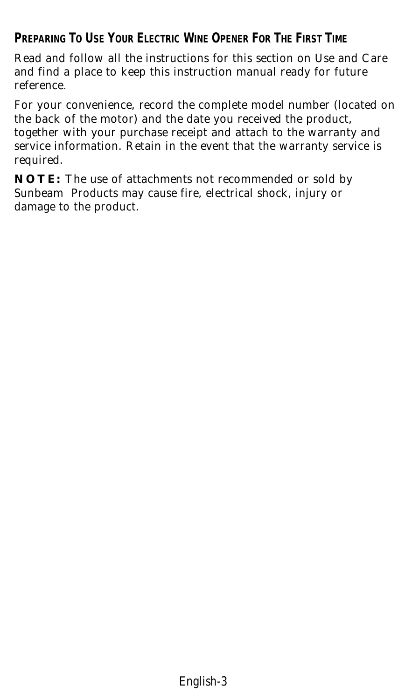## **PREPARING TO USE YOUR ELECTRIC WINE OPENER FOR THE FIRST TIME**

Read and follow all the instructions for this section on Use and Care and find a place to keep this instruction manual ready for future reference.

For your convenience, record the complete model number *(located on the back of the motor)* and the date you received the product, together with your purchase receipt and attach to the warranty and service information. Retain in the event that the warranty service is required.

**NOTE:** The use of attachments not recommended or sold by Sunbeam Products may cause fire, electrical shock, injury or damage to the product.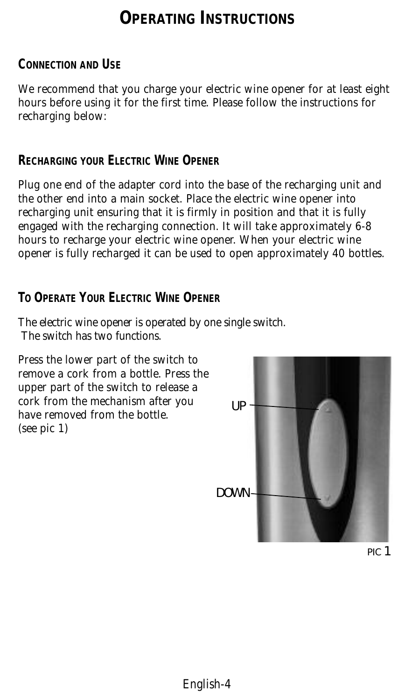## **OPERATING INSTRUCTIONS**

#### **CONNECTION AND USE**

We recommend that you charge your electric wine opener for at least eight hours before using it for the first time. Please follow the instructions for recharging below:

#### **RECHARGING YOUR ELECTRIC WINE OPENER**

Plug one end of the adapter cord into the base of the recharging unit and the other end into a main socket. Place the electric wine opener into recharging unit ensuring that it is firmly in position and that it is fully engaged with the recharging connection. It will take approximately 6-8 hours to recharge your electric wine opener. When your electric wine opener is fully recharged it can be used to open approximately 40 bottles.

#### **TO OPERATE YOUR ELECTRIC WINE OPENER**

The electric wine opener is operated by one single switch. The switch has two functions.

Press the lower part of the switch to remove a cork from a bottle. Press the upper part of the switch to release a cork from the mechanism after you have removed from the bottle. (see pic 1)



English-2 English-3 English-4 English-5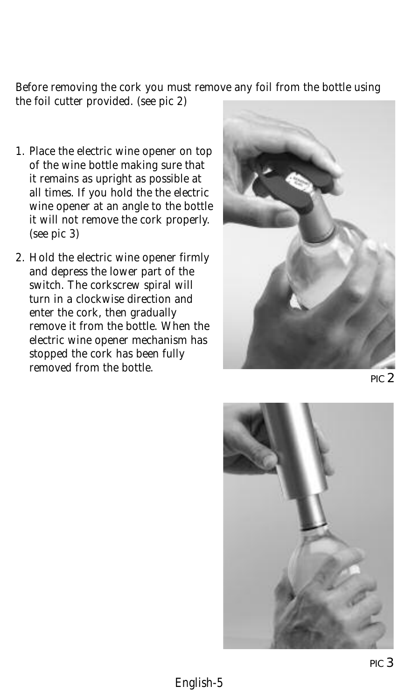Before removing the cork you must remove any foil from the bottle using the foil cutter provided. (see pic 2)

- 1. Place the electric wine opener on top of the wine bottle making sure that it remains as upright as possible at all times. If you hold the the electric wine opener at an angle to the bottle it will not remove the cork properly. (see pic 3)
- 2. Hold the electric wine opener firmly and depress the lower part of the switch. The corkscrew spiral will turn in a clockwise direction and enter the cork, then gradually remove it from the bottle. When the electric wine opener mechanism has stopped the cork has been fully removed from the bottle.



PIC 2

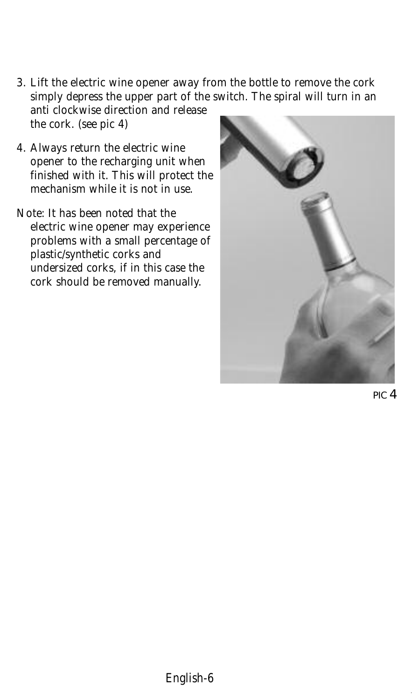- 3. Lift the electric wine opener away from the bottle to remove the cork simply depress the upper part of the switch. The spiral will turn in an anti clockwise direction and release the cork. (see pic 4)
- 4. Always return the electric wine opener to the recharging unit when finished with it. This will protect the mechanism while it is not in use.
- Note: It has been noted that the electric wine opener may experience problems with a small percentage of plastic/synthetic corks and undersized corks, if in this case the cork should be removed manually.



PIC 4

––– OLD –––F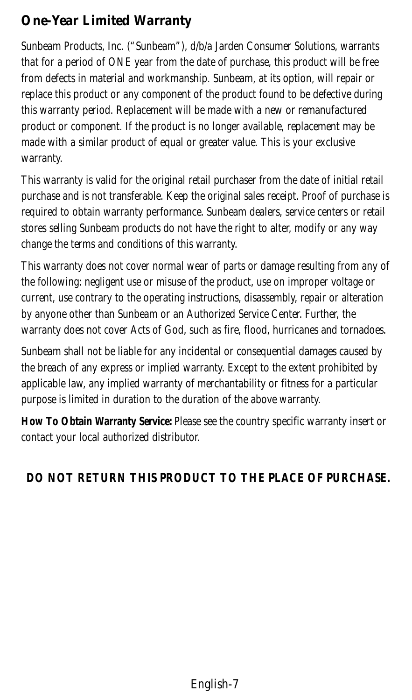### *One-Year Limited Warranty*

Sunbeam Products, Inc. ("Sunbeam"), d/b/a Jarden Consumer Solutions, warrants that for a period of ONE year from the date of purchase, this product will be free from defects in material and workmanship. Sunbeam, at its option, will repair or replace this product or any component of the product found to be defective during this warranty period. Replacement will be made with a new or remanufactured product or component. If the product is no longer available, replacement may be made with a similar product of equal or greater value. This is your exclusive warranty.

This warranty is valid for the original retail purchaser from the date of initial retail purchase and is not transferable. Keep the original sales receipt. Proof of purchase is required to obtain warranty performance. Sunbeam dealers, service centers or retail stores selling Sunbeam products do not have the right to alter, modify or any way change the terms and conditions of this warranty.

This warranty does not cover normal wear of parts or damage resulting from any of the following: negligent use or misuse of the product, use on improper voltage or current, use contrary to the operating instructions, disassembly, repair or alteration by anyone other than Sunbeam or an Authorized Service Center. Further, the warranty does not cover Acts of God, such as fire, flood, hurricanes and tornadoes.

Sunbeam shall not be liable for any incidental or consequential damages caused by the breach of any express or implied warranty. Except to the extent prohibited by applicable law, any implied warranty of merchantability or fitness for a particular purpose is limited in duration to the duration of the above warranty.

**How To Obtain Warranty Service:** Please see the country specific warranty insert or contact your local authorized distributor.

### **DO NOT RETURN THIS PRODUCT TO THE PLACE OF PURCHASE.**